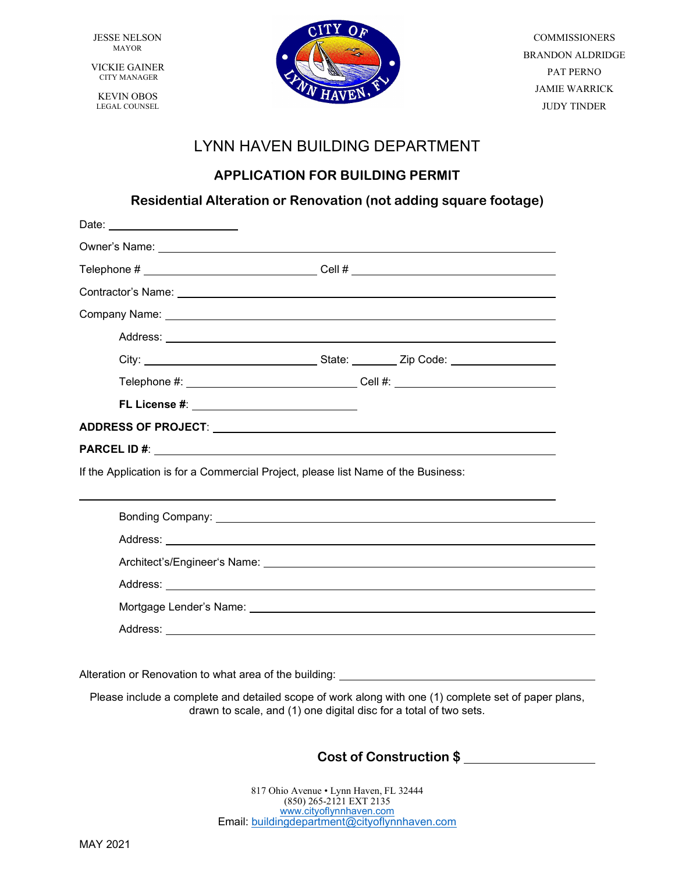JESSE NELSON MAYOR

VICKIE GAINER CITY MANAGER

KEVIN OBOS LEGAL COUNSEL



COMMISSIONERS BRANDON ALDRIDGE PAT PERNO JAMIE WARRICK JUDY TINDER

## LYNN HAVEN BUILDING DEPARTMENT

## **APPLICATION FOR BUILDING PERMIT**

### **Residential Alteration or Renovation (not adding square footage)**

| Date: _________________________                                                                                                                                                                                                      |                                                                                  |
|--------------------------------------------------------------------------------------------------------------------------------------------------------------------------------------------------------------------------------------|----------------------------------------------------------------------------------|
| Owner's Name: <u>example and the set of the set of the set of the set of the set of the set of the set of the set of the set of the set of the set of the set of the set of the set of the set of the set of the set of the set </u> |                                                                                  |
| Telephone # _________________________________Cell # ______________________________                                                                                                                                                   |                                                                                  |
|                                                                                                                                                                                                                                      |                                                                                  |
|                                                                                                                                                                                                                                      |                                                                                  |
|                                                                                                                                                                                                                                      |                                                                                  |
|                                                                                                                                                                                                                                      |                                                                                  |
|                                                                                                                                                                                                                                      | Telephone #: __________________________________Cell #: _________________________ |
| FL License #: ___________________________                                                                                                                                                                                            |                                                                                  |
|                                                                                                                                                                                                                                      |                                                                                  |
|                                                                                                                                                                                                                                      |                                                                                  |
|                                                                                                                                                                                                                                      |                                                                                  |
| If the Application is for a Commercial Project, please list Name of the Business:                                                                                                                                                    |                                                                                  |
|                                                                                                                                                                                                                                      |                                                                                  |
|                                                                                                                                                                                                                                      |                                                                                  |
|                                                                                                                                                                                                                                      |                                                                                  |
|                                                                                                                                                                                                                                      |                                                                                  |
|                                                                                                                                                                                                                                      |                                                                                  |
|                                                                                                                                                                                                                                      |                                                                                  |

Alteration or Renovation to what area of the building:

Please include a complete and detailed scope of work along with one (1) complete set of paper plans, drawn to scale, and (1) one digital disc for a total of two sets.

**Cost of Construction \$**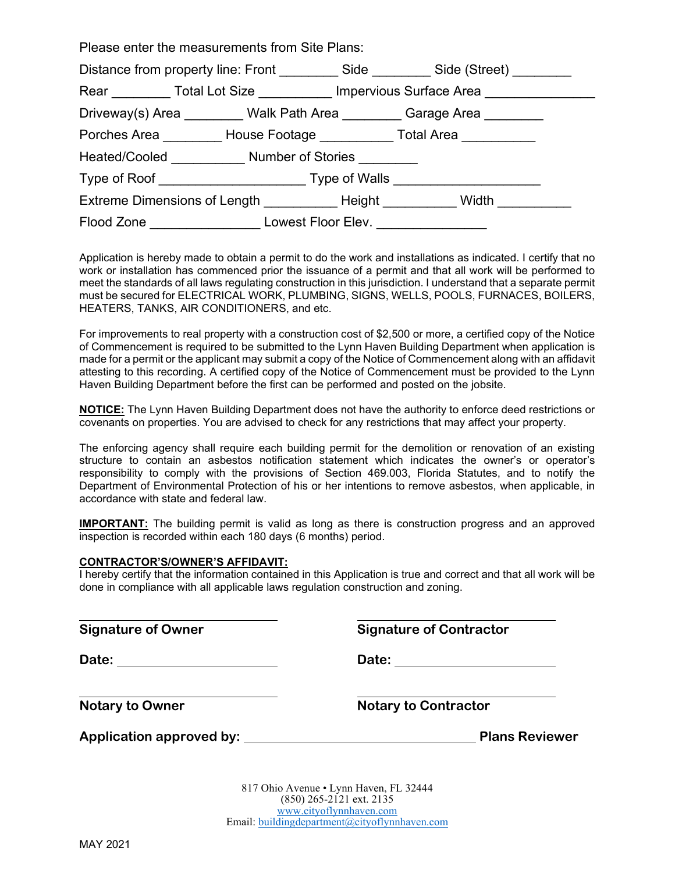| Please enter the measurements from Site Plans:                       |                                                                                           |  |
|----------------------------------------------------------------------|-------------------------------------------------------------------------------------------|--|
|                                                                      | Distance from property line: Front _____________ Side ___________ Side (Street) _________ |  |
|                                                                      | Rear __________ Total Lot Size ____________ Impervious Surface Area ___________           |  |
|                                                                      | Driveway(s) Area ________ Walk Path Area ________ Garage Area _______                     |  |
|                                                                      | Porches Area _________ House Footage ____________ Total Area ___________                  |  |
| Heated/Cooled Number of Stories                                      |                                                                                           |  |
|                                                                      |                                                                                           |  |
|                                                                      | Extreme Dimensions of Length Theight Nidth Nidth                                          |  |
| Flood Zone _____________________ Lowest Floor Elev. ________________ |                                                                                           |  |

Application is hereby made to obtain a permit to do the work and installations as indicated. I certify that no work or installation has commenced prior the issuance of a permit and that all work will be performed to meet the standards of all laws regulating construction in this jurisdiction. I understand that a separate permit must be secured for ELECTRICAL WORK, PLUMBING, SIGNS, WELLS, POOLS, FURNACES, BOILERS, HEATERS, TANKS, AIR CONDITIONERS, and etc.

For improvements to real property with a construction cost of \$2,500 or more, a certified copy of the Notice of Commencement is required to be submitted to the Lynn Haven Building Department when application is made for a permit or the applicant may submit a copy of the Notice of Commencement along with an affidavit attesting to this recording. A certified copy of the Notice of Commencement must be provided to the Lynn Haven Building Department before the first can be performed and posted on the jobsite.

**NOTICE:** The Lynn Haven Building Department does not have the authority to enforce deed restrictions or covenants on properties. You are advised to check for any restrictions that may affect your property.

The enforcing agency shall require each building permit for the demolition or renovation of an existing structure to contain an asbestos notification statement which indicates the owner's or operator's responsibility to comply with the provisions of Section 469.003, Florida Statutes, and to notify the Department of Environmental Protection of his or her intentions to remove asbestos, when applicable, in accordance with state and federal law.

**IMPORTANT:** The building permit is valid as long as there is construction progress and an approved inspection is recorded within each 180 days (6 months) period.

#### **CONTRACTOR'S/OWNER'S AFFIDAVIT:**

I hereby certify that the information contained in this Application is true and correct and that all work will be done in compliance with all applicable laws regulation construction and zoning.

**Signature of Owner Signature of Contractor**

**Date: Date:** 

**Notary to Owner Notary to Contractor** 

**Application approved by: Plans Reviewer** 

817 Ohio Avenue • Lynn Haven, FL 32444 (850) 265-2121 ext. 2135 [www.cityoflynnhaven.com](http://www.cityoflynnhaven.com/) Email: [buildingdepartment@cityoflynnhaven.com](mailto:buildingdepartment@cityoflynnhaven.com)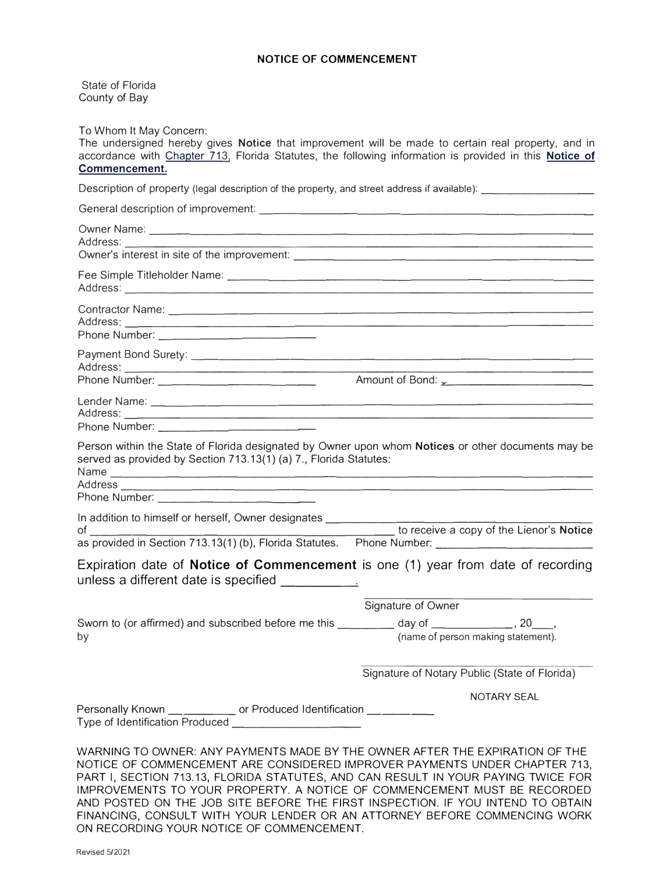#### **NOTICE OF COMMENCEMENT**

State of Florida County of Bay

To Whom It May Concern:

The undersigned hereby gives **Notice** that improvement will be made to certain real property, and in accordance with Chapter 713, Florida Statutes, the following information is provided in this **Notice of Commencement.** 

Description of property (legal description of the property, and street address if available):

| Phone Number: ________________________                                                                                                                                  |                                                            |
|-------------------------------------------------------------------------------------------------------------------------------------------------------------------------|------------------------------------------------------------|
|                                                                                                                                                                         |                                                            |
|                                                                                                                                                                         |                                                            |
|                                                                                                                                                                         | Amount of Bond: <u>1000 magazines and the set of Bond:</u> |
|                                                                                                                                                                         |                                                            |
| Phone Number: <u>______________________</u>                                                                                                                             |                                                            |
|                                                                                                                                                                         |                                                            |
| Person within the State of Florida designated by Owner upon whom Notices or other documents may be<br>served as provided by Section 713.13(1) (a) 7., Florida Statutes: |                                                            |
|                                                                                                                                                                         |                                                            |
|                                                                                                                                                                         |                                                            |
| In addition to himself or herself, Owner designates _____________<br>$\mathsf{of}$ and $\mathsf{of}$ and $\mathsf{of}$                                                  | to receive a copy of the Lienor's Notice                   |
|                                                                                                                                                                         |                                                            |
| Expiration date of Notice of Commencement is one (1) year from date of recording<br>unless a different date is specified ____________.                                  |                                                            |
|                                                                                                                                                                         | Signature of Owner                                         |
| Sworn to (or affirmed) and subscribed before me this _______ day of __________, 20__,                                                                                   |                                                            |
| by                                                                                                                                                                      | (name of person making statement).                         |
|                                                                                                                                                                         |                                                            |
|                                                                                                                                                                         | Signature of Notary Public (State of Florida)              |
|                                                                                                                                                                         | <b>NOTARY SEAL</b>                                         |
| Personally Known __ ________ or Produced Identification __ _______<br>Type of Identification Produced _______________________                                           |                                                            |
|                                                                                                                                                                         |                                                            |
| WARNING TO OWNER: ANY PAYMENTS MADE BY THE OWNER AFTER THE EXPIRATION OF THE                                                                                            |                                                            |
| NOTICE OF COMMENCEMENT ARE CONSIDERED IMPROVER PAYMENTS UNDER CHAPTER 713,                                                                                              |                                                            |

PART I, SECTION 713.13, FLORIDA STATUTES, AND CAN RESULT IN YOUR PAYING TWICE FOR IMPROVEMENTS TO YOUR PROPERTY. A NOTICE OF COMMENCEMENT MUST BE RECORDED AND POSTED ON THE JOB SITE BEFORE THE FIRST INSPECTION. IF YOU INTEND TO OBTAIN FINANCING, CONSULT WITH YOUR LENDER OR AN ATTORNEY BEFORE COMMENCING WORK ON RECORDING YOUR NOTICE OF COMMENCEMENT.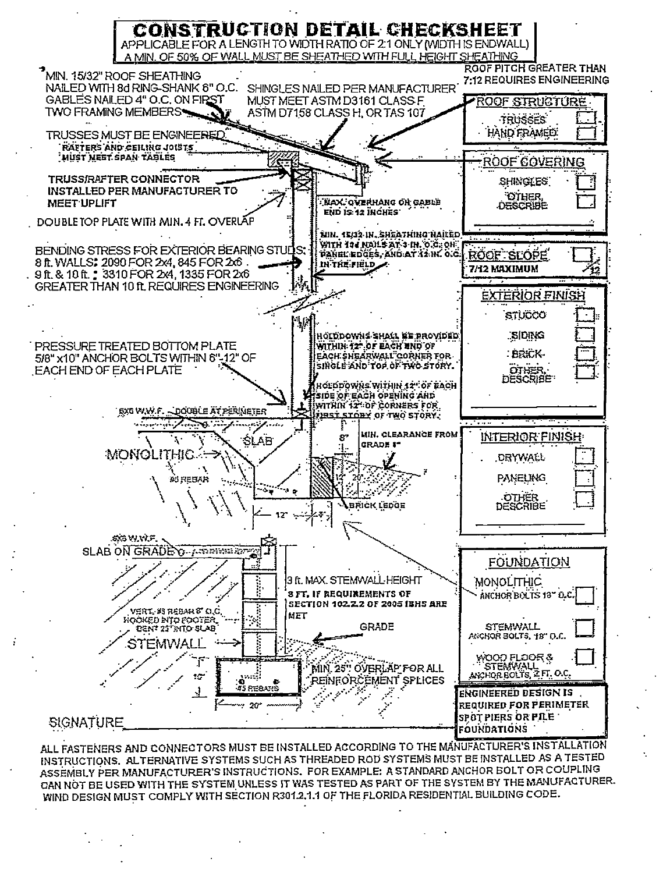

ALL FASTENERS AND CONNECTORS MUST BE INSTALLED ACCORDING TO THE MANUFACTURER'S INSTALLATION INSTRUCTIONS. ALTERNATIVE SYSTEMS SUCH AS THREADED ROD SYSTEMS MUST BE INSTALLED AS A TESTED ASSEMBLY PER MANUFACTURER'S INSTRUCTIONS. FOR EXAMPLE: A STANDARD ANCHOR BOLT OR COUPLING CAN NOT BE USED WITH THE SYSTEM UNLESS IT WAS TESTED AS PART OF THE SYSTEM BY THE MANUFACTURER. WIND DESIGN MUST COMPLY WITH SECTION R301.2.1.1 OF THE FLORIDA RESIDENTIAL BUILDING CODE.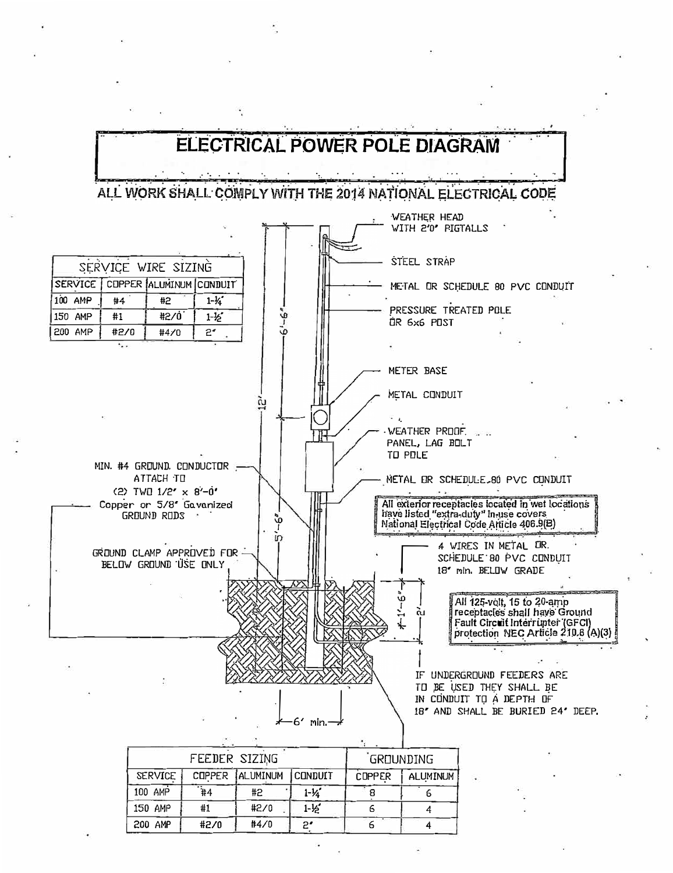

| FEEDER SIZING  |                 |                 | <b>GROUNDING</b>  |               |                 |
|----------------|-----------------|-----------------|-------------------|---------------|-----------------|
| <b>SERVICE</b> |                 | COPPER ALUMINUM | <b>CONDUIT</b>    | <b>COPPER</b> | <b>ALUMINUM</b> |
| 100 AMP        | $\overline{44}$ | #2              | $1 - 1/4$         |               |                 |
| 150 AMP        | #1              | #2/0            | $1 - \frac{1}{2}$ |               |                 |
| 200 AMP        | #2/0            | #4/0            | 2.                |               |                 |